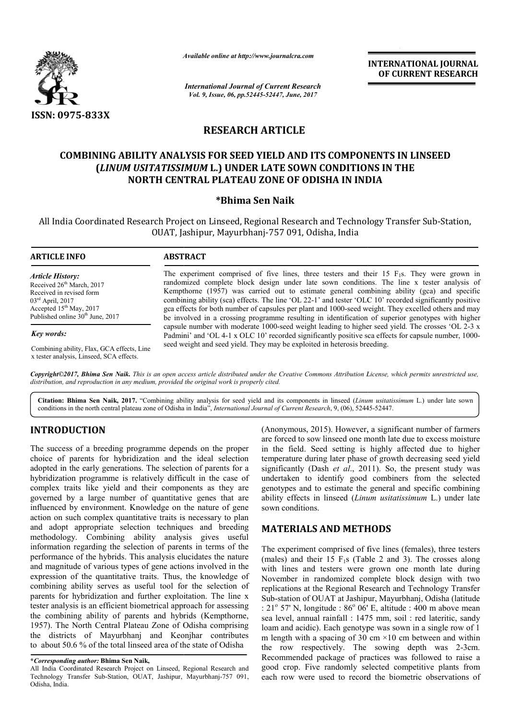

*Available online at http://www.journal http://www.journalcra.com*

*International Journal of Current Research Vol. 9, Issue, 06, pp.52445-52447, June, 2017*

**INTERNATIONAL JOURNAL OF CURRENT RESEARCH** 

# **RESEARCH ARTICLE**

## **COMBINING ABILITY ANALYSIS FOR SEED YIELD AND ITS COMPONENTS IN LINSEED (***LINUM USITATISSIMUM* **L.) UNDER LATE SOWN CONDITIONS IN THE**  ABILITY ANALYSIS FOR SEED YIELD AND ITS COMPONEN<br>*UM USITATISSIMUM* L.) UNDER LATE SOWN CONDITIONS<br>NORTH CENTRAL PLATEAU ZONE OF ODISHA IN INDIA

### **\*Bhima Sen Naik**

All India Coordinated Research Project on Linseed, Regional Research and Technology Transfer Sub-Station, OUAT, Jashipur, Mayurbhanj Mayurbhanj-757 091, Odisha, India

| <b>ARTICLE INFO</b>                                                                                                                                                                                       | <b>ABSTRACT</b>                                                                                                                                                                                                                                                                                                                                                                                                                                                                                                                                                                                                    |
|-----------------------------------------------------------------------------------------------------------------------------------------------------------------------------------------------------------|--------------------------------------------------------------------------------------------------------------------------------------------------------------------------------------------------------------------------------------------------------------------------------------------------------------------------------------------------------------------------------------------------------------------------------------------------------------------------------------------------------------------------------------------------------------------------------------------------------------------|
| <b>Article History:</b><br>Received 26 <sup>th</sup> March, 2017<br>Received in revised form<br>$03^{\text{rd}}$ April, 2017<br>Accepted $15th$ May, 2017<br>Published online 30 <sup>th</sup> June, 2017 | The experiment comprised of five lines, three testers and their 15 $F_1$ s. They were grown in<br>randomized complete block design under late sown conditions. The line x tester analysis of<br>Kempthorne (1957) was carried out to estimate general combining ability (gca) and specific<br>combining ability (sca) effects. The line 'OL 22-1' and tester 'OLC 10' recorded significantly positive<br>gca effects for both number of capsules per plant and 1000-seed weight. They excelled others and may<br>be involved in a crossing programme resulting in identification of superior genotypes with higher |
| Key words:                                                                                                                                                                                                | capsule number with moderate 1000-seed weight leading to higher seed yield. The crosses 'OL 2-3 x<br>Padmini' and 'OL 4-1 x OLC 10' recorded significantly positive sca effects for capsule number, 1000-                                                                                                                                                                                                                                                                                                                                                                                                          |

Combining ability, Flax, GCA effects, Line x tester analysis, Linseed, SCA effects.

*Copyright©2017, Bhima Sen Naik. This is an open access article distributed under the Creative Commons Att Attribution License, which ribution permits unrestricted use, distribution, and reproduction in any medium, provided the original work is properly cited.*

seed weight and seed yield. They may be exploited in heterosis breeding.

Citation: Bhima Sen Naik, 2017. "Combining ability analysis for seed yield and its components in linseed (Linum usitatissimum L.) under late sown conditions in the north central plateau zone of Odisha in India", *International Journal of Current Research*, 9, (06), 52445-52447.

## **INTRODUCTION**

The success of a breeding programme depends on the proper choice of parents for hybridization and the ideal selection adopted in the early generations. The selection of parents for a hybridization programme is relatively difficult in the case of complex traits like yield and their components as they are governed by a large number of quantitative genes that are influenced by environment. Knowledge on the nature of gene action on such complex quantitative traits is necessary to plan and adopt appropriate selection techniques and breeding methodology. Combining ability analysis gives useful information regarding the selection of parents in terms of the performance of the hybrids. This analysis elucidates the nature and magnitude of various types of gene actions involved in the expression of the quantitative traits. Thus, the knowledge of combining ability serves as useful tool for the selection of parents for hybridization and further exploitation. The line x tester analysis is an efficient biometrical approach for assessing the combining ability of parents and hybrids (Kempthorne, 1957). The North Central Plateau Zone of Odisha comprising the districts of Mayurbhanj and Keonjhar contributes to about 50.6 % of the total linseed area of the state of Odisha ology. Combining ability analysis gives useful<br>tion regarding the selection of parents in terms of the<br>hance of the hybrids. This analysis elucidates the nature<br>gnitude of various types of gene actions involved in the<br>ion

(Anonymous, 2015). However, a significant number of farmers are forced to sow linseed one month late due to excess moisture in the field. Seed setting is highly affected due to higher temperature during later phase of growth decreasing seed yield significantly (Dash *et al*., 2011). So, the present study was undertaken to identify good combiners from the selected genotypes and to estimate the general and specific combining ability effects in linseed (*Linum usitatissimum usitatissimum* L.) under late sown conditions. 2015). However, a significant number of farmers<br>ow linseed one month late due to excess moisture<br>Seed setting is highly affected due to higher<br>uring later phase of growth decreasing seed yield<br>Dash *et al.*, 2011). So, th

### **MATERIALS AND METHODS METHODS**

The experiment comprised of five lines (females), three testers (males) and their  $15 \text{ F}_{1}$ s (Table 2 and 3). The crosses along with lines and testers were grown one month late during November in randomized complete block design with two replications at the Regional Research and Technology Transfer Sub-station of OUAT at Jashipur, Mayurbhanj, Odisha (latitude :  $21^{\circ}$  57' N, longitude :  $86^{\circ}$  06' E, altitude : 400 m above mean sea level, annual rainfall : 1475 mm, soil : red lateritic, sandy loam and acidic). Each genotype was sown in a single row of 1 m length with a spacing of 30 cm  $\times$ 10 cm between and within the row respectively. The sowing depth was 2-3cm. Recommended package of practices was followed to raise a good crop. Five randomly selected competitive plants from each row were used to record the biometric observations of The experiment comprised of five lines (females), three testers (males) and their 15  $F_1s$  (Table 2 and 3). The crosses along with lines and testers were grown one month late during November in randomized complete block of practices was followed to raise a<br>hly selected competitive plants from<br>record the biometric observations of

**<sup>\*</sup>***Corresponding author:* **Bhima Sen Naik,**

All India Coordinated Research Project on Linseed, Regional Research and Technology Transfer Sub-Station, OUAT, Jashipur, Mayurbhanj-757 091, Odisha, India.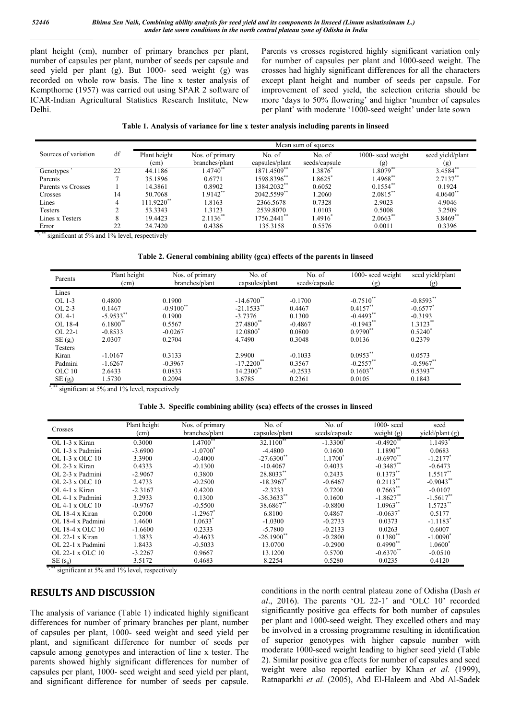plant height (cm), number of primary branches per plant, number of capsules per plant, number of seeds per capsule and seed yield per plant (g). But 1000- seed weight (g) was recorded on whole row basis. The line x tester analysis of Kempthorne (1957) was carried out using SPAR 2 software of ICAR-Indian Agricultural Statistics Research Institute, New Delhi.

Parents vs crosses registered highly significant variation only for number of capsules per plant and 1000-seed weight. The crosses had highly significant differences for all the characters except plant height and number of seeds per capsule. For improvement of seed yield, the selection criteria should be more 'days to 50% flowering' and higher 'number of capsules per plant' with moderate '1000-seed weight' under late sown

|  | Table 1. Analysis of variance for line x tester analysis including parents in linseed |  |  |  |
|--|---------------------------------------------------------------------------------------|--|--|--|
|  |                                                                                       |  |  |  |
|  |                                                                                       |  |  |  |

|                      |    | Mean sum of squares |                   |                |               |                        |                  |  |  |
|----------------------|----|---------------------|-------------------|----------------|---------------|------------------------|------------------|--|--|
| Sources of variation | df | Plant height        | Nos. of primary   | No. of         | No. of        | 1000- seed weight      | seed yield/plant |  |  |
|                      |    | (cm)                | branches/plant    | capsules/plant | seeds/capsule | (g)                    | (g)              |  |  |
| Genotypes            | 22 | 44.1186             | $.4740^{\degree}$ | 1871.4509*     | 1.3876        | .8079                  | 3.4584           |  |  |
| Parents              |    | 35.1896             | 0.6771            | 1598.8396**    | 1.8625        | 1.4968**               | $2.7137**$       |  |  |
| Parents vs Crosses   |    | 14.3861             | 0.8902            | 1384.2032**    | 0.6052        | $0.1554$ **            | 0.1924           |  |  |
| Crosses              | 14 | 50.7068             | $1.9142**$        | 2042.5599**    | 1.2060        | $2.0815$ **            | $4.0640^{**}$    |  |  |
| Lines                |    | 111.9220**          | 1.8163            | 2366.5678      | 0.7328        | 2.9023                 | 4.9046           |  |  |
| <b>Testers</b>       |    | 53.3343             | 1.3123            | 2539.8070      | 1.0103        | 0.5008                 | 3.2509           |  |  |
| Lines x Testers      | 8  | 19.4423             | $2.1136^{**}$     | 1756.2441**    | 1.4916        | $2.0663$ <sup>**</sup> | $3.8469**$       |  |  |
| Error                | 22 | 24.7420             | 0.4386            | 135.3158       | 0.5576        | 0.0011                 | 0.3396           |  |  |

\*,\*\* significant at 5% and 1% level, respectively

#### **Table 2. General combining ability (gca) effects of the parents in linseed**

| Parents   | Plant height<br>(cm) | Nos. of primary<br>branches/plant | No. of<br>capsules/plant | No. of<br>seeds/capsule | 1000- seed weight<br>(g) | seed yield/plant<br>(g) |
|-----------|----------------------|-----------------------------------|--------------------------|-------------------------|--------------------------|-------------------------|
| Lines     |                      |                                   |                          |                         |                          |                         |
| OL 1-3    | 0.4800               | 0.1900                            | $-14.6700**$             | $-0.1700$               | $-0.7510^{**}$           | $-0.8593**$             |
| OL 2-3    | 0.1467               | $-0.9100$ <sup>**</sup>           | $-21.1533$ <sup>**</sup> | 0.4467                  | $0.4157$ **              | $-0.6577$ <sup>*</sup>  |
| $OL 4-1$  | $-5.9533**$          | 0.1900                            | $-3.7376$                | 0.1300                  | $-0.4493$ <sup>**</sup>  | $-0.3193$               |
| OL 18-4   | $6.1800**$           | 0.5567                            | 27.4800**                | $-0.4867$               | $-0.1943$ **             | $1.3123**$              |
| OL 22-1   | $-0.8533$            | $-0.0267$                         | 12.0800 <sup>*</sup>     | 0.0800                  | $0.9790**$               | $0.5240^*$              |
| $SE(g_i)$ | 2.0307               | 0.2704                            | 4.7490                   | 0.3048                  | 0.0136                   | 0.2379                  |
| Testers   |                      |                                   |                          |                         |                          |                         |
| Kiran     | $-1.0167$            | 0.3133                            | 2.9900                   | $-0.1033$               | $0.0953**$               | 0.0573                  |
| Padmini   | $-1.6267$            | $-0.3967$                         | $-17.2200$ <sup>**</sup> | 0.3567                  | $-0.2557$ **             | $-0.5967**$             |
| OLC 10    | 2.6433               | 0.0833                            | $14.2300**$              | $-0.2533$               | $0.1603$ **              | $0.5393**$              |
| $SE(g_j)$ | 1.5730               | 0.2094                            | 3.6785                   | 0.2361                  | 0.0105                   | 0.1843                  |

\*,\*\*\* significant at 5% and 1% level, respectively

|  | Table 3. Specific combining ability (sca) effects of the crosses in linseed |  |  |  |  |  |  |
|--|-----------------------------------------------------------------------------|--|--|--|--|--|--|
|--|-----------------------------------------------------------------------------|--|--|--|--|--|--|

| Crosses                | Plant height<br>(cm) | Nos. of primary<br>branches/plant | No. of<br>capsules/plant | No. of<br>seeds/capsule | $1000 - \text{seed}$<br>weight $(g)$ | seed<br>yield/plant $(g)$ |
|------------------------|----------------------|-----------------------------------|--------------------------|-------------------------|--------------------------------------|---------------------------|
| OL 1-3 x Kiran         | 0.3000               | $1.4700$ <sup>**</sup>            | $32.1100^{**}$           | $-1.3300^{\circ}$       | $-0.4920$ <sup>**</sup>              | $1.1493$ <sup>*</sup>     |
| OL 1-3 x Padmini       | $-3.6900$            | $-1.0700^*$                       | $-4.4800$                | 0.1600                  | $1.1890**$                           | 0.0683                    |
| $OL$ 1-3 x OLC 10      | 3.3900               | $-0.4000$                         | $-27.6300$ **            | $1.1700^*$              | $-0.6970$ <sup>**</sup>              | $-1.2177$ <sup>*</sup>    |
| $OL$ 2-3 x Kiran       | 0.4333               | $-0.1300$                         | $-10.4067$               | 0.4033                  | $-0.3487$ **                         | $-0.6473$                 |
| $OL$ 2-3 x Padmini     | $-2.9067$            | 0.3800                            | 28.8033**                | 0.2433                  | $0.1373**$                           | $1.5517$ **               |
| OL 2-3 x OLC 10        | 2.4733               | $-0.2500$                         | $-18.3967$ <sup>*</sup>  | $-0.6467$               | $0.2113***$                          | $-0.9043$ <sup>**</sup>   |
| $OL$ 4-1 x Kiran       | $-2.3167$            | 0.4200                            | $-2.3233$                | 0.7200                  | $0.7663**$                           | $-0.0107$                 |
| $OL$ 4-1 x Padmini     | 3.2933               | 0.1300                            | $-36.3633**$             | 0.1600                  | $-1.8627$ **                         | $-1.5617$ **              |
| $OL.4-1 \times OLC.10$ | $-0.9767$            | $-0.5500$                         | 38.6867**                | $-0.8800$               | $1.0963**$                           | $1.5723**$                |
| $OL$ 18-4 x Kiran      | 0.2000               | $-1.2967$ <sup>*</sup>            | 6.8100                   | 0.4867                  | $-0.0637$ <sup>*</sup>               | 0.5177                    |
| OL 18-4 x Padmini      | 1.4600               | 1.0633*                           | $-1.0300$                | $-0.2733$               | 0.0373                               | $-1.1183$ <sup>*</sup>    |
| OL 18-4 x OLC 10       | $-1.6600$            | 0.2333                            | $-5.7800$                | $-0.2133$               | 0.0263                               | 0.6007                    |
| $OL$ 22-1 x Kiran      | 1.3833               | $-0.4633$                         | $-26.1900$ <sup>**</sup> | $-0.2800$               | $0.1380**$                           | $-1.0090^*$               |
| OL 22-1 x Padmini      | 1.8433               | $-0.5033$                         | 13.0700                  | $-0.2900$               | $0.4990$ **                          | 1.0600 <sup>*</sup>       |
| OL 22-1 x OLC 10       | $-3.2267$            | 0.9667                            | 13.1200                  | 0.5700                  | $-0.6370$ <sup>**</sup>              | $-0.0510$                 |
| $SE(s_{ii})$           | 3.5172               | 0.4683                            | 8.2254                   | 0.5280                  | 0.0235                               | 0.4120                    |

significant at 5% and 1% level, respectively

#### **RESULTS AND DISCUSSION**

The analysis of variance (Table 1) indicated highly significant differences for number of primary branches per plant, number of capsules per plant, 1000- seed weight and seed yield per plant, and significant difference for number of seeds per capsule among genotypes and interaction of line x tester. The parents showed highly significant differences for number of capsules per plant, 1000- seed weight and seed yield per plant, and significant difference for number of seeds per capsule.

conditions in the north central plateau zone of Odisha (Dash *et al*., 2016). The parents 'OL 22-1' and 'OLC 10' recorded significantly positive gca effects for both number of capsules per plant and 1000-seed weight. They excelled others and may be involved in a crossing programme resulting in identification of superior genotypes with higher capsule number with moderate 1000-seed weight leading to higher seed yield (Table 2). Similar positive gca effects for number of capsules and seed weight were also reported earlier by Khan *et al.* (1999), Ratnaparkhi *et al.* (2005), Abd El-Haleem and Abd Al-Sadek